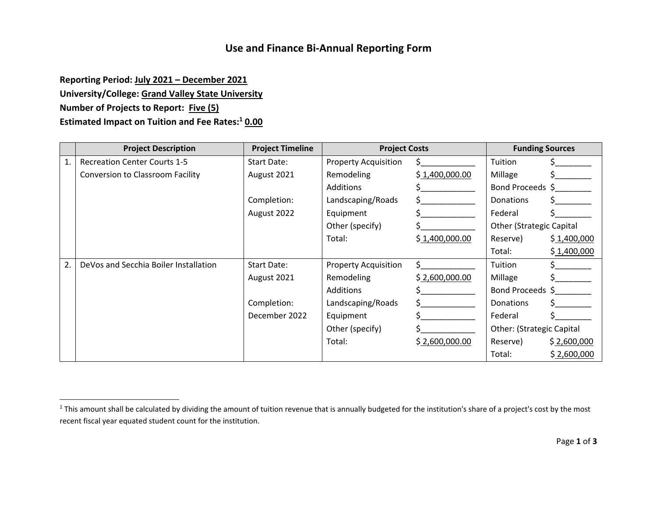## **Use and Finance Bi‐Annual Reporting Form**

**Reporting Period: July 2021 – December 2021 University/College: Grand Valley State University Number of Projects to Report: Five (5) Estimated Impact on Tuition and Fee Rates:<sup>1</sup> 0.00**

|    | <b>Project Description</b>            | <b>Project Timeline</b> | <b>Project Costs</b>        |                | <b>Funding Sources</b>          |             |
|----|---------------------------------------|-------------------------|-----------------------------|----------------|---------------------------------|-------------|
| 1. | <b>Recreation Center Courts 1-5</b>   | <b>Start Date:</b>      | <b>Property Acquisition</b> | S.             | Tuition                         |             |
|    | Conversion to Classroom Facility      | August 2021             | Remodeling                  | \$1,400,000.00 | Millage                         |             |
|    |                                       |                         | Additions                   |                | Bond Proceeds \$                |             |
|    |                                       | Completion:             | Landscaping/Roads           |                | Donations                       |             |
|    |                                       | August 2022             | Equipment                   |                | Federal                         |             |
|    |                                       |                         | Other (specify)             |                | <b>Other (Strategic Capital</b> |             |
|    |                                       |                         | Total:                      | \$1,400,000.00 | Reserve)                        | \$1,400,000 |
|    |                                       |                         |                             |                | Total:                          | \$1,400,000 |
| 2. | DeVos and Secchia Boiler Installation | <b>Start Date:</b>      | <b>Property Acquisition</b> |                | Tuition                         |             |
|    |                                       | August 2021             | Remodeling                  | \$2,600,000.00 | Millage                         |             |
|    |                                       |                         | Additions                   |                | Bond Proceeds \$                |             |
|    |                                       | Completion:             | Landscaping/Roads           |                | <b>Donations</b>                |             |
|    |                                       | December 2022           | Equipment                   |                | Federal                         |             |
|    |                                       |                         | Other (specify)             |                | Other: (Strategic Capital       |             |
|    |                                       |                         | Total:                      | \$2,600,000.00 | Reserve)                        | \$2,600,000 |
|    |                                       |                         |                             |                | Total:                          | \$2,600,000 |

 $^1$  This amount shall be calculated by dividing the amount of tuition revenue that is annually budgeted for the institution's share of a project's cost by the most recent fiscal year equated student count for the institution.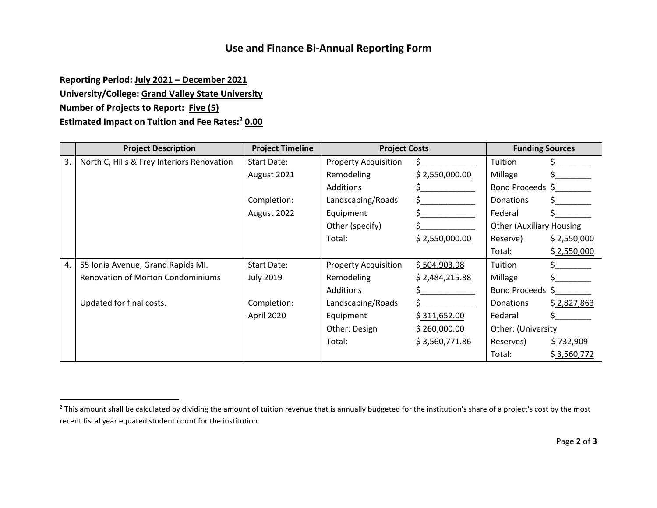## **Use and Finance Bi‐Annual Reporting Form**

**Reporting Period: July 2021 – December 2021**

**University/College: Grand Valley State University**

**Number of Projects to Report: Five (5)**

**Estimated Impact on Tuition and Fee Rates:<sup>2</sup> 0.00**

|    | <b>Project Description</b>                 | <b>Project Timeline</b> | <b>Project Costs</b>        |                | <b>Funding Sources</b>          |             |
|----|--------------------------------------------|-------------------------|-----------------------------|----------------|---------------------------------|-------------|
| 3. | North C, Hills & Frey Interiors Renovation | Start Date:             | <b>Property Acquisition</b> | S.             | Tuition                         |             |
|    |                                            | August 2021             | Remodeling                  | \$2,550,000.00 | Millage                         |             |
|    |                                            |                         | Additions                   |                | Bond Proceeds \$                |             |
|    |                                            | Completion:             | Landscaping/Roads           |                | Donations                       |             |
|    |                                            | August 2022             | Equipment                   |                | Federal                         |             |
|    |                                            |                         | Other (specify)             |                | <b>Other (Auxiliary Housing</b> |             |
|    |                                            |                         | Total:                      | \$2,550,000.00 | Reserve)                        | \$2,550,000 |
|    |                                            |                         |                             |                | Total:                          | \$2,550,000 |
| 4. | 55 Ionia Avenue, Grand Rapids MI.          | Start Date:             | <b>Property Acquisition</b> | \$504,903.98   | Tuition                         |             |
|    | <b>Renovation of Morton Condominiums</b>   | <b>July 2019</b>        | Remodeling                  | \$2,484,215.88 | Millage                         |             |
|    |                                            |                         | Additions                   |                | Bond Proceeds \$                |             |
|    | Updated for final costs.                   | Completion:             | Landscaping/Roads           |                | <b>Donations</b>                | \$2,827,863 |
|    |                                            | April 2020              | Equipment                   | \$311,652.00   | Federal                         |             |
|    |                                            |                         | Other: Design               | \$260,000.00   | Other: (University              |             |
|    |                                            |                         | Total:                      | \$3,560,771.86 | Reserves)                       | \$732,909   |
|    |                                            |                         |                             |                | Total:                          | \$3,560,772 |

<sup>&</sup>lt;sup>2</sup> This amount shall be calculated by dividing the amount of tuition revenue that is annually budgeted for the institution's share of a project's cost by the most recent fiscal year equated student count for the institution.